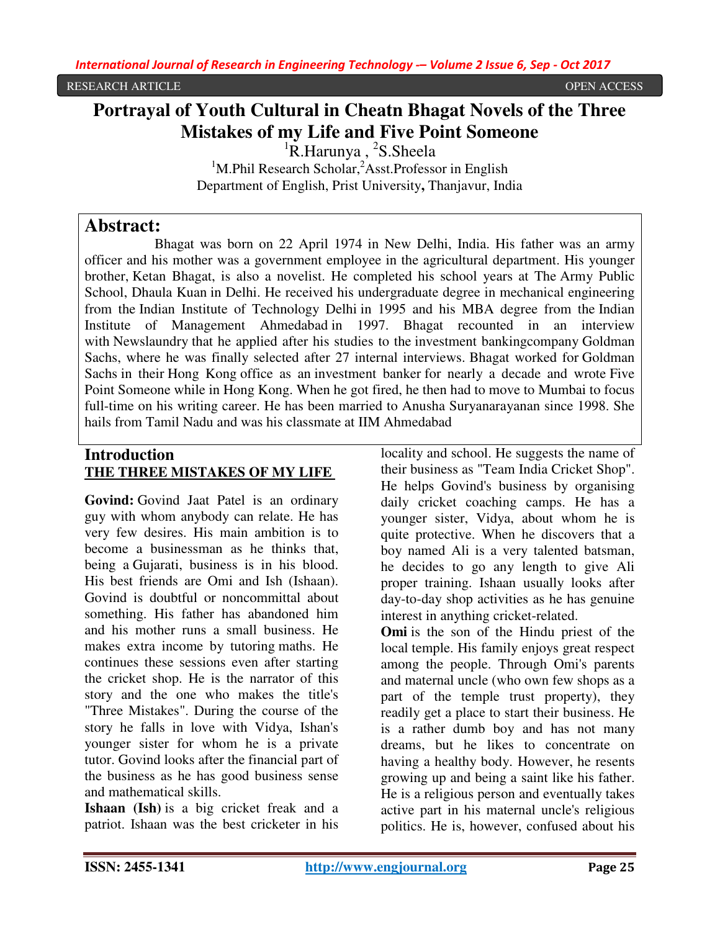# **Portrayal of Youth Cultural in Cheatn Bhagat Novels of the Three Mistakes of my Life and Five Point Someone**

<sup>1</sup>R.Harunya , <sup>2</sup>S.Sheela <sup>1</sup>M.Phil Research Scholar,  $A$ <sup>2</sup>Asst.Professor in English Department of English, Prist University**,** Thanjavur, India

# **Abstract:**

 Bhagat was born on 22 April 1974 in New Delhi, India. His father was an army officer and his mother was a government employee in the agricultural department. His younger brother, Ketan Bhagat, is also a novelist. He completed his school years at The Army Public School, Dhaula Kuan in Delhi. He received his undergraduate degree in mechanical engineering from the Indian Institute of Technology Delhi in 1995 and his MBA degree from the Indian Institute of Management Ahmedabad in 1997. Bhagat recounted in an interview with Newslaundry that he applied after his studies to the investment bankingcompany Goldman Sachs, where he was finally selected after 27 internal interviews. Bhagat worked for Goldman Sachs in their Hong Kong office as an investment banker for nearly a decade and wrote Five Point Someone while in Hong Kong. When he got fired, he then had to move to Mumbai to focus full-time on his writing career. He has been married to Anusha Suryanarayanan since 1998. She hails from Tamil Nadu and was his classmate at IIM Ahmedabad

# **Introduction THE THREE MISTAKES OF MY LIFE**

**Govind:** Govind Jaat Patel is an ordinary guy with whom anybody can relate. He has very few desires. His main ambition is to become a businessman as he thinks that, being a Gujarati, business is in his blood. His best friends are Omi and Ish (Ishaan). Govind is doubtful or noncommittal about something. His father has abandoned him and his mother runs a small business. He makes extra income by tutoring maths. He continues these sessions even after starting the cricket shop. He is the narrator of this story and the one who makes the title's "Three Mistakes". During the course of the story he falls in love with Vidya, Ishan's younger sister for whom he is a private tutor. Govind looks after the financial part of the business as he has good business sense and mathematical skills.

**Ishaan (Ish)** is a big cricket freak and a patriot. Ishaan was the best cricketer in his

locality and school. He suggests the name of their business as "Team India Cricket Shop". He helps Govind's business by organising daily cricket coaching camps. He has a younger sister, Vidya, about whom he is quite protective. When he discovers that a boy named Ali is a very talented batsman, he decides to go any length to give Ali proper training. Ishaan usually looks after day-to-day shop activities as he has genuine interest in anything cricket-related.

**Omi** is the son of the Hindu priest of the local temple. His family enjoys great respect among the people. Through Omi's parents and maternal uncle (who own few shops as a part of the temple trust property), they readily get a place to start their business. He is a rather dumb boy and has not many dreams, but he likes to concentrate on having a healthy body. However, he resents growing up and being a saint like his father. He is a religious person and eventually takes active part in his maternal uncle's religious politics. He is, however, confused about his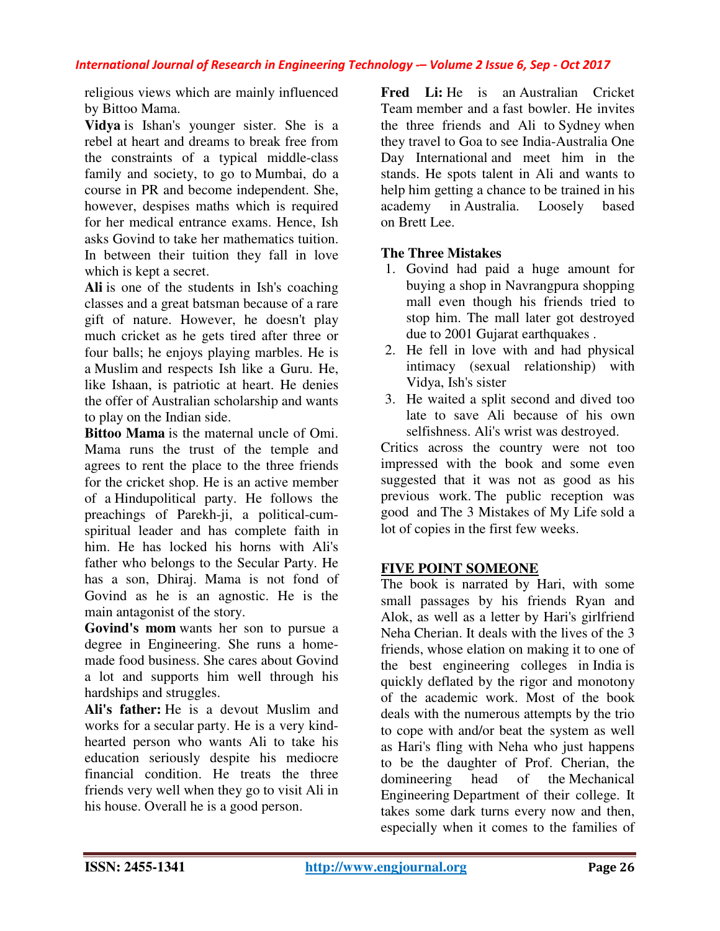religious views which are mainly influenced by Bittoo Mama.

**Vidya** is Ishan's younger sister. She is a rebel at heart and dreams to break free from the constraints of a typical middle-class family and society, to go to Mumbai, do a course in PR and become independent. She, however, despises maths which is required for her medical entrance exams. Hence, Ish asks Govind to take her mathematics tuition. In between their tuition they fall in love which is kept a secret.

**Ali** is one of the students in Ish's coaching classes and a great batsman because of a rare gift of nature. However, he doesn't play much cricket as he gets tired after three or four balls; he enjoys playing marbles. He is a Muslim and respects Ish like a Guru. He, like Ishaan, is patriotic at heart. He denies the offer of Australian scholarship and wants to play on the Indian side.

**Bittoo Mama** is the maternal uncle of Omi. Mama runs the trust of the temple and agrees to rent the place to the three friends for the cricket shop. He is an active member of a Hindupolitical party. He follows the preachings of Parekh-ji, a political-cumspiritual leader and has complete faith in him. He has locked his horns with Ali's father who belongs to the Secular Party. He has a son, Dhiraj. Mama is not fond of Govind as he is an agnostic. He is the main antagonist of the story.

**Govind's mom** wants her son to pursue a degree in Engineering. She runs a homemade food business. She cares about Govind a lot and supports him well through his hardships and struggles.

**Ali's father:** He is a devout Muslim and works for a secular party. He is a very kindhearted person who wants Ali to take his education seriously despite his mediocre financial condition. He treats the three friends very well when they go to visit Ali in his house. Overall he is a good person.

**Fred Li:** He is an Australian Cricket Team member and a fast bowler. He invites the three friends and Ali to Sydney when they travel to Goa to see India-Australia One Day International and meet him in the stands. He spots talent in Ali and wants to help him getting a chance to be trained in his academy in Australia. Loosely based on Brett Lee.

# **The Three Mistakes**

- 1. Govind had paid a huge amount for buying a shop in Navrangpura shopping mall even though his friends tried to stop him. The mall later got destroyed due to 2001 Gujarat earthquakes .
- 2. He fell in love with and had physical intimacy (sexual relationship) with Vidya, Ish's sister
- 3. He waited a split second and dived too late to save Ali because of his own selfishness. Ali's wrist was destroyed.

Critics across the country were not too impressed with the book and some even suggested that it was not as good as his previous work. The public reception was good and The 3 Mistakes of My Life sold a lot of copies in the first few weeks.

# **FIVE POINT SOMEONE**

The book is narrated by Hari, with some small passages by his friends Ryan and Alok, as well as a letter by Hari's girlfriend Neha Cherian. It deals with the lives of the 3 friends, whose elation on making it to one of the best engineering colleges in India is quickly deflated by the rigor and monotony of the academic work. Most of the book deals with the numerous attempts by the trio to cope with and/or beat the system as well as Hari's fling with Neha who just happens to be the daughter of Prof. Cherian, the domineering head of the Mechanical Engineering Department of their college. It takes some dark turns every now and then, especially when it comes to the families of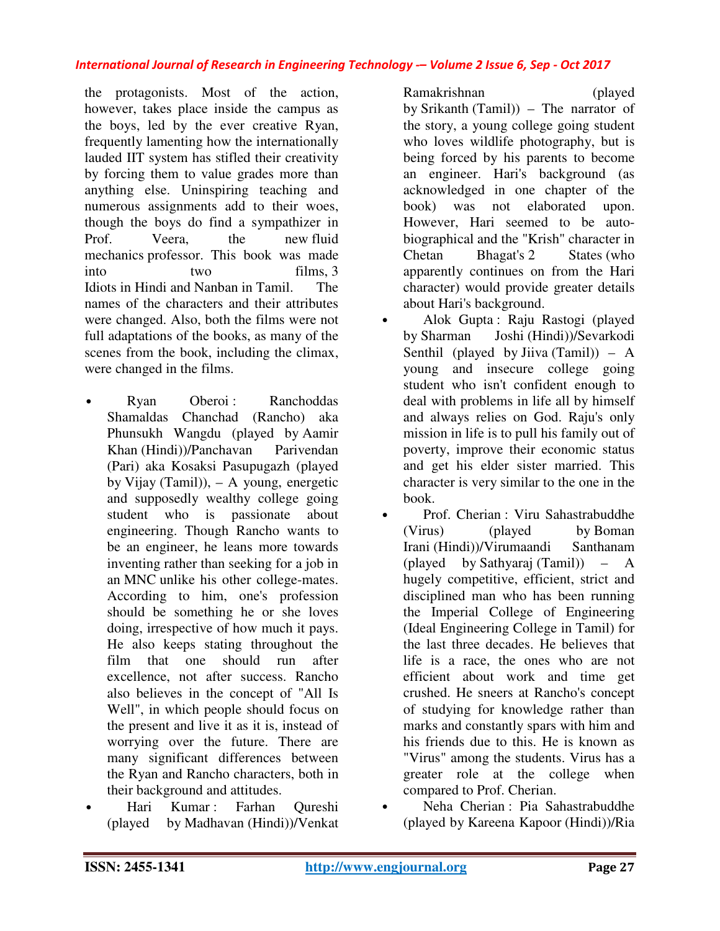the protagonists. Most of the action, however, takes place inside the campus as the boys, led by the ever creative Ryan, frequently lamenting how the internationally lauded IIT system has stifled their creativity by forcing them to value grades more than anything else. Uninspiring teaching and numerous assignments add to their woes, though the boys do find a sympathizer in Prof. Veera, the new fluid mechanics professor. This book was made into two films, 3 Idiots in Hindi and Nanban in Tamil. The names of the characters and their attributes were changed. Also, both the films were not full adaptations of the books, as many of the scenes from the book, including the climax, were changed in the films.

- Ryan Oberoi: Ranchoddas Shamaldas Chanchad (Rancho) aka Phunsukh Wangdu (played by Aamir Khan (Hindi))/Panchavan Parivendan (Pari) aka Kosaksi Pasupugazh (played by Vijay (Tamil)), – A young, energetic and supposedly wealthy college going student who is passionate about engineering. Though Rancho wants to be an engineer, he leans more towards inventing rather than seeking for a job in an MNC unlike his other college-mates. According to him, one's profession should be something he or she loves doing, irrespective of how much it pays. He also keeps stating throughout the film that one should run after excellence, not after success. Rancho also believes in the concept of "All Is Well", in which people should focus on the present and live it as it is, instead of worrying over the future. There are many significant differences between the Ryan and Rancho characters, both in their background and attitudes.
	- Hari Kumar : Farhan Qureshi (played by Madhavan (Hindi))/Venkat

Ramakrishnan (played by Srikanth (Tamil)) – The narrator of the story, a young college going student who loves wildlife photography, but is being forced by his parents to become an engineer. Hari's background (as acknowledged in one chapter of the book) was not elaborated upon. However, Hari seemed to be autobiographical and the "Krish" character in Chetan Bhagat's 2 States (who apparently continues on from the Hari character) would provide greater details about Hari's background.

- Alok Gupta : Raju Rastogi (played by Sharman Joshi (Hindi))/Sevarkodi Senthil (played by Jiiva (Tamil))  $- A$ young and insecure college going student who isn't confident enough to deal with problems in life all by himself and always relies on God. Raju's only mission in life is to pull his family out of poverty, improve their economic status and get his elder sister married. This character is very similar to the one in the book.
- Prof. Cherian : Viru Sahastrabuddhe (Virus) (played by Boman Irani (Hindi))/Virumaandi Santhanam (played by Sathyaraj (Tamil)) – A hugely competitive, efficient, strict and disciplined man who has been running the Imperial College of Engineering (Ideal Engineering College in Tamil) for the last three decades. He believes that life is a race, the ones who are not efficient about work and time get crushed. He sneers at Rancho's concept of studying for knowledge rather than marks and constantly spars with him and his friends due to this. He is known as "Virus" among the students. Virus has a greater role at the college when compared to Prof. Cherian.
	- Neha Cherian : Pia Sahastrabuddhe (played by Kareena Kapoor (Hindi))/Ria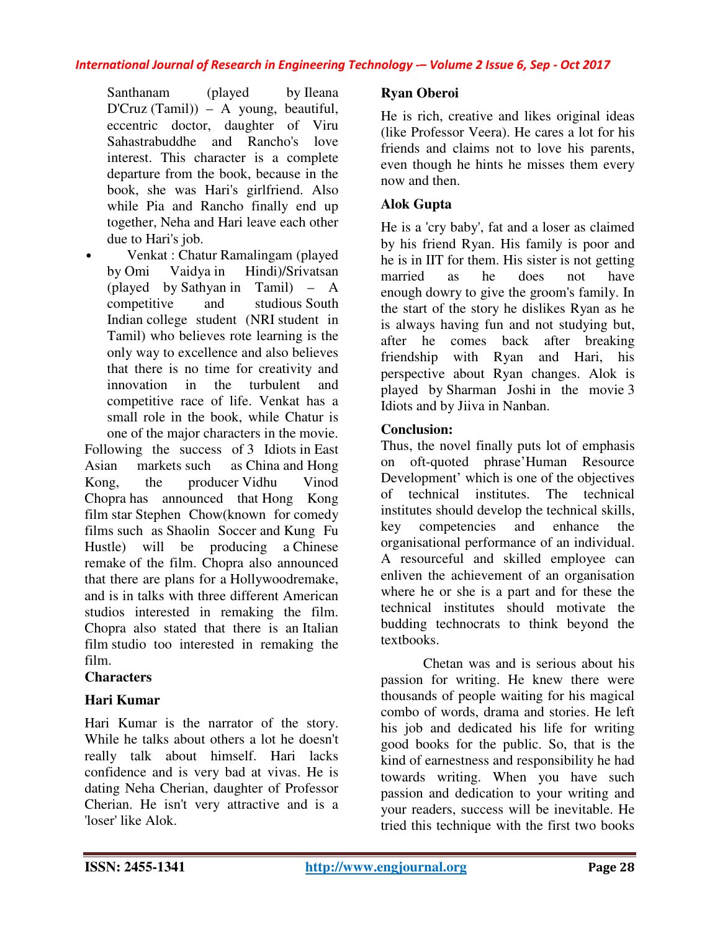Santhanam (played by Ileana D'Cruz (Tamil)) – A young, beautiful, eccentric doctor, daughter of Viru Sahastrabuddhe and Rancho's love interest. This character is a complete departure from the book, because in the book, she was Hari's girlfriend. Also while Pia and Rancho finally end up together, Neha and Hari leave each other due to Hari's job.

• Venkat : Chatur Ramalingam (played by Omi Vaidya in Hindi)/Srivatsan (played by Sathyan in Tamil) – A competitive and studious South Indian college student (NRI student in Tamil) who believes rote learning is the only way to excellence and also believes that there is no time for creativity and innovation in the turbulent and competitive race of life. Venkat has a small role in the book, while Chatur is

one of the major characters in the movie. Following the success of 3 Idiots in East Asian markets such as China and Hong Kong, the producer Vidhu Vinod Chopra has announced that Hong Kong film star Stephen Chow(known for comedy films such as Shaolin Soccer and Kung Fu Hustle) will be producing a Chinese remake of the film. Chopra also announced that there are plans for a Hollywoodremake, and is in talks with three different American studios interested in remaking the film. Chopra also stated that there is an Italian film studio too interested in remaking the film.

#### **Characters**

### **Hari Kumar**

Hari Kumar is the narrator of the story. While he talks about others a lot he doesn't really talk about himself. Hari lacks confidence and is very bad at vivas. He is dating Neha Cherian, daughter of Professor Cherian. He isn't very attractive and is a 'loser' like Alok.

# **Ryan Oberoi**

He is rich, creative and likes original ideas (like Professor Veera). He cares a lot for his friends and claims not to love his parents, even though he hints he misses them every now and then.

# **Alok Gupta**

He is a 'cry baby', fat and a loser as claimed by his friend Ryan. His family is poor and he is in IIT for them. His sister is not getting married as he does not have enough dowry to give the groom's family. In the start of the story he dislikes Ryan as he is always having fun and not studying but, after he comes back after breaking friendship with Ryan and Hari, his perspective about Ryan changes. Alok is played by Sharman Joshi in the movie 3 Idiots and by Jiiva in Nanban.

# **Conclusion:**

Thus, the novel finally puts lot of emphasis on oft-quoted phrase'Human Resource Development' which is one of the objectives of technical institutes. The technical institutes should develop the technical skills, key competencies and enhance the organisational performance of an individual. A resourceful and skilled employee can enliven the achievement of an organisation where he or she is a part and for these the technical institutes should motivate the budding technocrats to think beyond the textbooks.

Chetan was and is serious about his passion for writing. He knew there were thousands of people waiting for his magical combo of words, drama and stories. He left his job and dedicated his life for writing good books for the public. So, that is the kind of earnestness and responsibility he had towards writing. When you have such passion and dedication to your writing and your readers, success will be inevitable. He tried this technique with the first two books